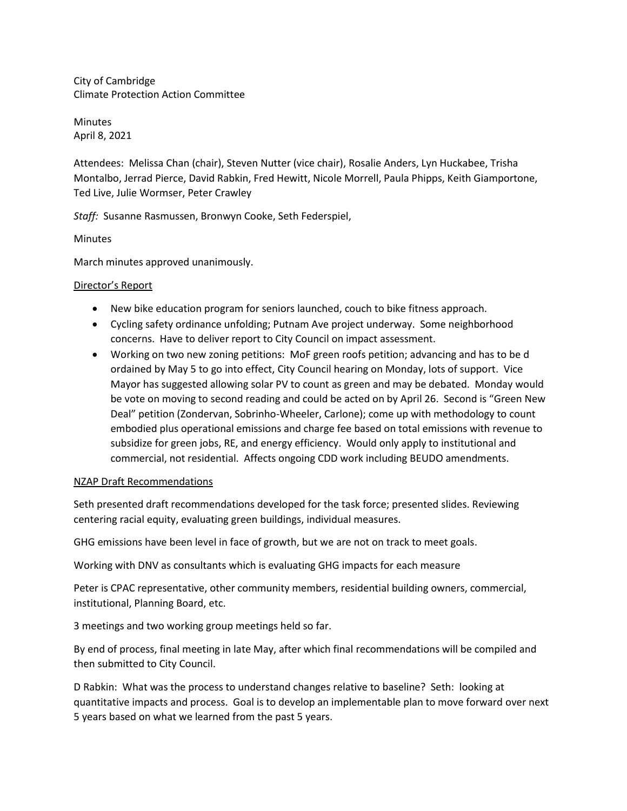City of Cambridge Climate Protection Action Committee

Minutes April 8, 2021

Attendees: Melissa Chan (chair), Steven Nutter (vice chair), Rosalie Anders, Lyn Huckabee, Trisha Montalbo, Jerrad Pierce, David Rabkin, Fred Hewitt, Nicole Morrell, Paula Phipps, Keith Giamportone, Ted Live, Julie Wormser, Peter Crawley

*Staff:* Susanne Rasmussen, Bronwyn Cooke, Seth Federspiel,

**Minutes** 

March minutes approved unanimously.

## Director's Report

- New bike education program for seniors launched, couch to bike fitness approach.
- Cycling safety ordinance unfolding; Putnam Ave project underway. Some neighborhood concerns. Have to deliver report to City Council on impact assessment.
- Working on two new zoning petitions: MoF green roofs petition; advancing and has to be d ordained by May 5 to go into effect, City Council hearing on Monday, lots of support. Vice Mayor has suggested allowing solar PV to count as green and may be debated. Monday would be vote on moving to second reading and could be acted on by April 26. Second is "Green New Deal" petition (Zondervan, Sobrinho-Wheeler, Carlone); come up with methodology to count embodied plus operational emissions and charge fee based on total emissions with revenue to subsidize for green jobs, RE, and energy efficiency. Would only apply to institutional and commercial, not residential. Affects ongoing CDD work including BEUDO amendments.

### NZAP Draft Recommendations

Seth presented draft recommendations developed for the task force; presented slides. Reviewing centering racial equity, evaluating green buildings, individual measures.

GHG emissions have been level in face of growth, but we are not on track to meet goals.

Working with DNV as consultants which is evaluating GHG impacts for each measure

Peter is CPAC representative, other community members, residential building owners, commercial, institutional, Planning Board, etc.

3 meetings and two working group meetings held so far.

By end of process, final meeting in late May, after which final recommendations will be compiled and then submitted to City Council.

D Rabkin: What was the process to understand changes relative to baseline? Seth: looking at quantitative impacts and process. Goal is to develop an implementable plan to move forward over next 5 years based on what we learned from the past 5 years.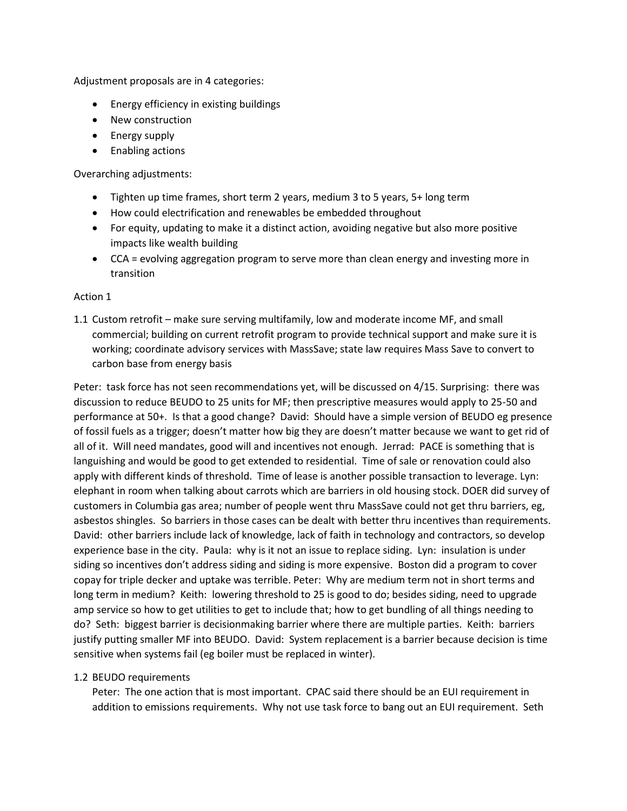Adjustment proposals are in 4 categories:

- Energy efficiency in existing buildings
- New construction
- Energy supply
- Enabling actions

Overarching adjustments:

- Tighten up time frames, short term 2 years, medium 3 to 5 years, 5+ long term
- How could electrification and renewables be embedded throughout
- For equity, updating to make it a distinct action, avoiding negative but also more positive impacts like wealth building
- CCA = evolving aggregation program to serve more than clean energy and investing more in transition

### Action 1

1.1 Custom retrofit – make sure serving multifamily, low and moderate income MF, and small commercial; building on current retrofit program to provide technical support and make sure it is working; coordinate advisory services with MassSave; state law requires Mass Save to convert to carbon base from energy basis

Peter: task force has not seen recommendations yet, will be discussed on 4/15. Surprising: there was discussion to reduce BEUDO to 25 units for MF; then prescriptive measures would apply to 25-50 and performance at 50+. Is that a good change? David: Should have a simple version of BEUDO eg presence of fossil fuels as a trigger; doesn't matter how big they are doesn't matter because we want to get rid of all of it. Will need mandates, good will and incentives not enough. Jerrad: PACE is something that is languishing and would be good to get extended to residential. Time of sale or renovation could also apply with different kinds of threshold. Time of lease is another possible transaction to leverage. Lyn: elephant in room when talking about carrots which are barriers in old housing stock. DOER did survey of customers in Columbia gas area; number of people went thru MassSave could not get thru barriers, eg, asbestos shingles. So barriers in those cases can be dealt with better thru incentives than requirements. David: other barriers include lack of knowledge, lack of faith in technology and contractors, so develop experience base in the city. Paula: why is it not an issue to replace siding. Lyn: insulation is under siding so incentives don't address siding and siding is more expensive. Boston did a program to cover copay for triple decker and uptake was terrible. Peter: Why are medium term not in short terms and long term in medium? Keith: lowering threshold to 25 is good to do; besides siding, need to upgrade amp service so how to get utilities to get to include that; how to get bundling of all things needing to do? Seth: biggest barrier is decisionmaking barrier where there are multiple parties. Keith: barriers justify putting smaller MF into BEUDO. David: System replacement is a barrier because decision is time sensitive when systems fail (eg boiler must be replaced in winter).

### 1.2 BEUDO requirements

Peter: The one action that is most important. CPAC said there should be an EUI requirement in addition to emissions requirements. Why not use task force to bang out an EUI requirement. Seth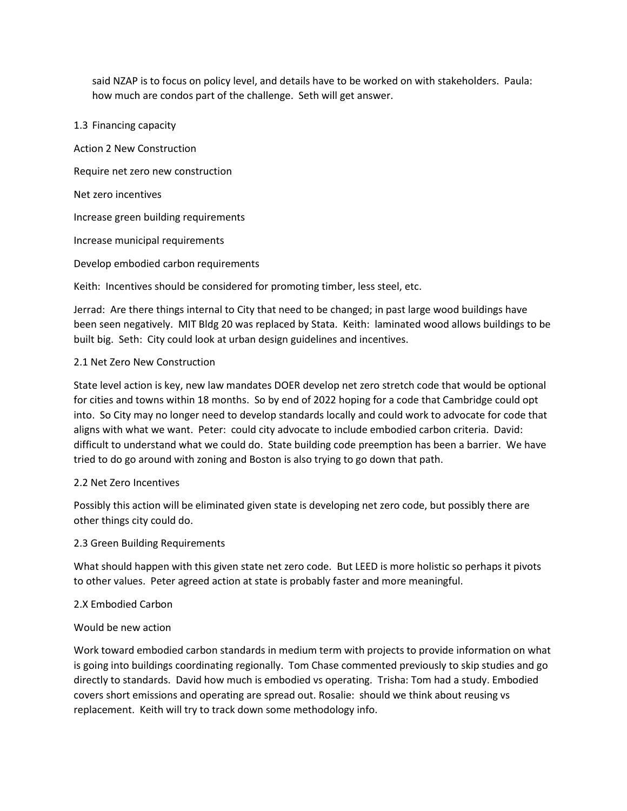said NZAP is to focus on policy level, and details have to be worked on with stakeholders. Paula: how much are condos part of the challenge. Seth will get answer.

#### 1.3 Financing capacity

Action 2 New Construction Require net zero new construction Net zero incentives Increase green building requirements Increase municipal requirements Develop embodied carbon requirements Keith: Incentives should be considered for promoting timber, less steel, etc.

Jerrad: Are there things internal to City that need to be changed; in past large wood buildings have been seen negatively. MIT Bldg 20 was replaced by Stata. Keith: laminated wood allows buildings to be built big. Seth: City could look at urban design guidelines and incentives.

### 2.1 Net Zero New Construction

State level action is key, new law mandates DOER develop net zero stretch code that would be optional for cities and towns within 18 months. So by end of 2022 hoping for a code that Cambridge could opt into. So City may no longer need to develop standards locally and could work to advocate for code that aligns with what we want. Peter: could city advocate to include embodied carbon criteria. David: difficult to understand what we could do. State building code preemption has been a barrier. We have tried to do go around with zoning and Boston is also trying to go down that path.

### 2.2 Net Zero Incentives

Possibly this action will be eliminated given state is developing net zero code, but possibly there are other things city could do.

### 2.3 Green Building Requirements

What should happen with this given state net zero code. But LEED is more holistic so perhaps it pivots to other values. Peter agreed action at state is probably faster and more meaningful.

### 2.X Embodied Carbon

# Would be new action

Work toward embodied carbon standards in medium term with projects to provide information on what is going into buildings coordinating regionally. Tom Chase commented previously to skip studies and go directly to standards. David how much is embodied vs operating. Trisha: Tom had a study. Embodied covers short emissions and operating are spread out. Rosalie: should we think about reusing vs replacement. Keith will try to track down some methodology info.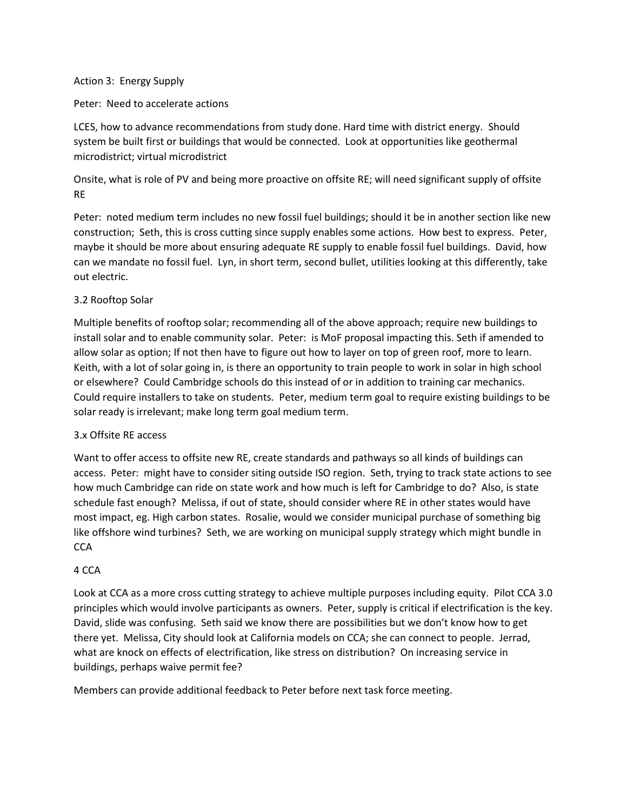#### Action 3: Energy Supply

#### Peter: Need to accelerate actions

LCES, how to advance recommendations from study done. Hard time with district energy. Should system be built first or buildings that would be connected. Look at opportunities like geothermal microdistrict; virtual microdistrict

Onsite, what is role of PV and being more proactive on offsite RE; will need significant supply of offsite RE

Peter: noted medium term includes no new fossil fuel buildings; should it be in another section like new construction; Seth, this is cross cutting since supply enables some actions. How best to express. Peter, maybe it should be more about ensuring adequate RE supply to enable fossil fuel buildings. David, how can we mandate no fossil fuel. Lyn, in short term, second bullet, utilities looking at this differently, take out electric.

### 3.2 Rooftop Solar

Multiple benefits of rooftop solar; recommending all of the above approach; require new buildings to install solar and to enable community solar. Peter: is MoF proposal impacting this. Seth if amended to allow solar as option; If not then have to figure out how to layer on top of green roof, more to learn. Keith, with a lot of solar going in, is there an opportunity to train people to work in solar in high school or elsewhere? Could Cambridge schools do this instead of or in addition to training car mechanics. Could require installers to take on students. Peter, medium term goal to require existing buildings to be solar ready is irrelevant; make long term goal medium term.

### 3.x Offsite RE access

Want to offer access to offsite new RE, create standards and pathways so all kinds of buildings can access. Peter: might have to consider siting outside ISO region. Seth, trying to track state actions to see how much Cambridge can ride on state work and how much is left for Cambridge to do? Also, is state schedule fast enough? Melissa, if out of state, should consider where RE in other states would have most impact, eg. High carbon states. Rosalie, would we consider municipal purchase of something big like offshore wind turbines? Seth, we are working on municipal supply strategy which might bundle in **CCA** 

### 4 CCA

Look at CCA as a more cross cutting strategy to achieve multiple purposes including equity. Pilot CCA 3.0 principles which would involve participants as owners. Peter, supply is critical if electrification is the key. David, slide was confusing. Seth said we know there are possibilities but we don't know how to get there yet. Melissa, City should look at California models on CCA; she can connect to people. Jerrad, what are knock on effects of electrification, like stress on distribution? On increasing service in buildings, perhaps waive permit fee?

Members can provide additional feedback to Peter before next task force meeting.